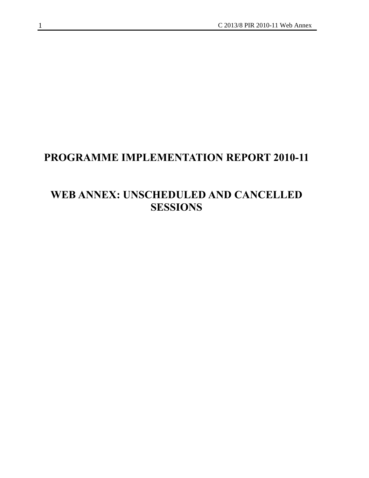# **PROGRAMME IMPLEMENTATION REPORT 2010-11**

# **WEB ANNEX: UNSCHEDULED AND CANCELLED SESSIONS**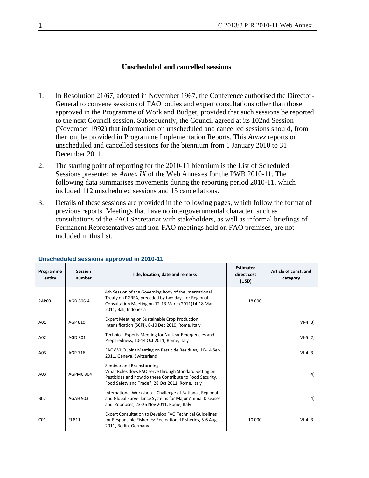#### **Unscheduled and cancelled sessions**

- 1. In Resolution 21/67, adopted in November 1967, the Conference authorised the Director-General to convene sessions of FAO bodies and expert consultations other than those approved in the Programme of Work and Budget, provided that such sessions be reported to the next Council session. Subsequently, the Council agreed at its 102nd Session (November 1992) that information on unscheduled and cancelled sessions should, from then on, be provided in Programme Implementation Reports. This *Annex* reports on unscheduled and cancelled sessions for the biennium from 1 January 2010 to 31 December 2011.
- 2. The starting point of reporting for the 2010-11 biennium is the List of Scheduled Sessions presented as *Annex IX* of the Web Annexes for the PWB 2010-11. The following data summarises movements during the reporting period 2010-11, which included 112 unscheduled sessions and 15 cancellations.
- 3. Details of these sessions are provided in the following pages, which follow the format of previous reports. Meetings that have no intergovernmental character, such as consultations of the FAO Secretariat with stakeholders, as well as informal briefings of Permanent Representatives and non-FAO meetings held on FAO premises, are not included in this list.

| Programme<br>entity | <b>Session</b><br>number | Title, location, date and remarks                                                                                                                                                                  | <b>Estimated</b><br>direct cost<br>(USD) | Article of const. and<br>category |
|---------------------|--------------------------|----------------------------------------------------------------------------------------------------------------------------------------------------------------------------------------------------|------------------------------------------|-----------------------------------|
| 2AP03               | AGD 806-4                | 4th Session of the Governing Body of the International<br>Treaty on PGRFA, preceded by two days for Regional<br>Consultation Meeting on 12-13 March 2011(14-18 Mar<br>2011, Bali, Indonesia        | 118 000                                  |                                   |
| A01                 | AGP 810                  | <b>Expert Meeting on Sustainable Crop Production</b><br>Intensification (SCPI), 8-10 Dec 2010, Rome, Italy                                                                                         |                                          | $VI-4(3)$                         |
| A02                 | AGD 801                  | Technical Experts Meeting for Nuclear Emergencies and<br>Preparedness, 10-14 Oct 2011, Rome, Italy                                                                                                 |                                          | $VI-5(2)$                         |
| A03                 | AGP 716                  | FAO/WHO Joint Meeting on Pesticide Residues, 10-14 Sep<br>2011, Geneva, Switzerland                                                                                                                |                                          | $VI-4(3)$                         |
| A03                 | AGPMC 904                | Seminar and Brainstorming<br>What Roles does FAO serve through Standard Setting on<br>Pesticides and how do these Contribute to Food Security,<br>Food Safety and Trade?, 28 Oct 2011, Rome, Italy |                                          | (4)                               |
| <b>B02</b>          | <b>AGAH 903</b>          | International Workshop - Challenge of National, Regional<br>and Global Surveillance Systems for Major Animal Diseases<br>and Zoonoses, 23-26 Nov 2011, Rome, Italy                                 |                                          | (4)                               |
| CO <sub>1</sub>     | FI 811                   | Expert Consultation to Develop FAO Technical Guidelines<br>for Responsible Fisheries: Recreational Fisheries, 5-6 Aug.<br>2011, Berlin, Germany                                                    | 10 000                                   | $VI-4(3)$                         |

#### **Unscheduled sessions approved in 2010-11**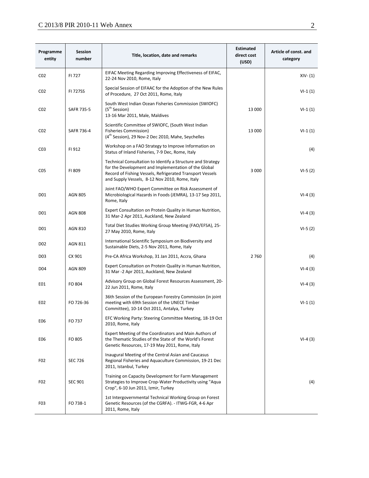## C 2013/8 PIR 2010-11 Web Annex 2

| Programme<br>entity | <b>Session</b><br>number | Title, location, date and remarks                                                                                                                                                                                                  | <b>Estimated</b><br>direct cost<br>(USD) | Article of const. and<br>category |
|---------------------|--------------------------|------------------------------------------------------------------------------------------------------------------------------------------------------------------------------------------------------------------------------------|------------------------------------------|-----------------------------------|
| CO <sub>2</sub>     | FI 727                   | EIFAC Meeting Regarding Improving Effectiveness of EIFAC,<br>22-24 Nov 2010, Rome, Italy                                                                                                                                           |                                          | $XIV - (1)$                       |
| CO <sub>2</sub>     | <b>FI 727SS</b>          | Special Session of EIFAAC for the Adoption of the New Rules<br>of Procedure, 27 Oct 2011, Rome, Italy                                                                                                                              |                                          | $VI-1(1)$                         |
| CO <sub>2</sub>     | <b>SAFR 735-5</b>        | South West Indian Ocean Fisheries Commission (SWIOFC)<br>(5 <sup>th</sup> Session)<br>13-16 Mar 2011, Male, Maldives                                                                                                               | 13 000                                   | $VI-1(1)$                         |
| CO <sub>2</sub>     | SAFR 736-4               | Scientific Committee of SWIOFC, (South West Indian<br><b>Fisheries Commission)</b><br>(4 <sup>th</sup> Session), 29 Nov-2 Dec 2010, Mahe, Seychelles                                                                               | 13 000                                   | $VI-1(1)$                         |
| CO <sub>3</sub>     | FI 912                   | Workshop on a FAO Strategy to Improve Information on<br>Status of Inland Fisheries, 7-9 Dec, Rome, Italy                                                                                                                           |                                          | (4)                               |
| C <sub>05</sub>     | FI 809                   | Technical Consultation to Identify a Structure and Strategy<br>for the Development and Implementation of the Global<br>Record of Fishing Vessels, Refrigerated Transport Vessels<br>and Supply Vessels, 8-12 Nov 2010, Rome, Italy | 3 0 0 0                                  | $VI-5(2)$                         |
| D01                 | <b>AGN 805</b>           | Joint FAO/WHO Expert Committee on Risk Assessment of<br>Microbiological Hazards in Foods (JEMRA), 13-17 Sep 2011,<br>Rome, Italy                                                                                                   |                                          | $VI-4(3)$                         |
| D01                 | <b>AGN 808</b>           | Expert Consultation on Protein Quality in Human Nutrition,<br>31 Mar-2 Apr 2011, Auckland, New Zealand                                                                                                                             |                                          | $VI-4(3)$                         |
| D01                 | <b>AGN 810</b>           | Total Diet Studies Working Group Meeting (FAO/EFSA), 25-<br>27 May 2010, Rome, Italy                                                                                                                                               |                                          | $VI-5(2)$                         |
| D <sub>0</sub> 2    | AGN 811                  | International Scientific Symposium on Biodiversity and<br>Sustainable Diets, 2-5 Nov 2011, Rome, Italy                                                                                                                             |                                          |                                   |
| D <sub>03</sub>     | CX 901                   | Pre-CA Africa Workshop, 31 Jan 2011, Accra, Ghana                                                                                                                                                                                  | 2760                                     | (4)                               |
| D <sub>04</sub>     | <b>AGN 809</b>           | Expert Consultation on Protein Quality in Human Nutrition,<br>31 Mar -2 Apr 2011, Auckland, New Zealand                                                                                                                            |                                          | $VI-4(3)$                         |
| E01                 | FO 804                   | Advisory Group on Global Forest Resources Assessment, 20-<br>22 Jun 2011, Rome, Italy                                                                                                                                              |                                          | $VI-4(3)$                         |
| E02                 | FO 726-36                | 36th Session of the European Forestry Commission (in joint)<br>meeting with 69th Session of the UNECE Timber<br>Committee), 10-14 Oct 2011, Antalya, Turkey                                                                        |                                          | $VI-1(1)$                         |
| E06                 | FO 737                   | EFC Working Party: Steering Committee Meeting, 18-19 Oct<br>2010, Rome, Italy                                                                                                                                                      |                                          |                                   |
| E06                 | FO 805                   | Expert Meeting of the Coordinators and Main Authors of<br>the Thematic Studies of the State of the World's Forest<br>Genetic Resources, 17-19 May 2011, Rome, Italy                                                                |                                          | $VI-4(3)$                         |
| F <sub>0</sub> 2    | <b>SEC 726</b>           | Inaugural Meeting of the Central Asian and Caucasus<br>Regional Fisheries and Aquaculture Commission, 19-21 Dec<br>2011, Istanbul, Turkey                                                                                          |                                          |                                   |
| F <sub>0</sub> 2    | <b>SEC 901</b>           | Training on Capacity Development for Farm Management<br>Strategies to Improve Crop-Water Productivity using "Aqua<br>Crop", 6-10 Jun 2011, Izmir, Turkey                                                                           |                                          | (4)                               |
| F <sub>0</sub> 3    | FO 738-1                 | 1st Intergovernmental Technical Working Group on Forest<br>Genetic Resources (of the CGRFA). - ITWG-FGR, 4-6 Apr<br>2011, Rome, Italy                                                                                              |                                          |                                   |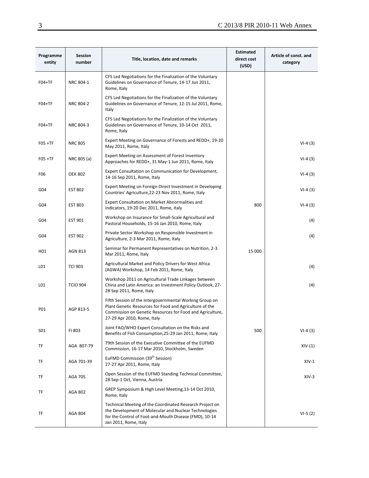| Programme<br>entity | Session<br>number | Title, location, date and remarks                                                                                                                                                                              | <b>Estimated</b><br>direct cost<br>(USD) | Article of const. and<br>category |
|---------------------|-------------------|----------------------------------------------------------------------------------------------------------------------------------------------------------------------------------------------------------------|------------------------------------------|-----------------------------------|
| $FO4+TF$            | NRC 804-1         | CFS Led Negotiations for the Finalization of the Voluntary<br>Guidelines on Governance of Tenure, 14-17 Jun 2011,<br>Rome, Italy                                                                               |                                          |                                   |
| $FO4+TF$            | NRC 804-2         | CFS Led Negotiations for the Finalization of the Voluntary<br>Guidelines on Governance of Tenure, 12-15 Jul 2011, Rome,<br>Italy                                                                               |                                          |                                   |
| $FO4+TF$            | NRC 804-3         | CFS Led Negotiations for the Finalization of the Voluntary<br>Guidelines on Governance of Tenure, 10-14 Oct 2011,<br>Rome, Italy                                                                               |                                          |                                   |
| $F05 + TF$          | <b>NRC 805</b>    | Expert Meeting on Governance of Forests and REDD+, 19-20<br>May 2011, Rome, Italy                                                                                                                              |                                          | $VI-4(3)$                         |
| $FO5 + TF$          | NRC 805 (a)       | Expert Meeting on Assessment of Forest Inventory<br>Approaches for REDD+, 31 May-1 Jun 2011, Rome, Italy                                                                                                       |                                          | $VI-4(3)$                         |
| F <sub>06</sub>     | <b>OEK 802</b>    | Expert Consultation on Communication for Development,<br>14-16 Sep 2011, Rome, Italy                                                                                                                           |                                          | $VI-4(3)$                         |
| G04                 | <b>EST 802</b>    | Expert Meeting on Foreign Direct Investment in Developing<br>Countries' Agriculture, 22-23 Nov 2011, Rome, Italy                                                                                               |                                          | $VI-4(3)$                         |
| G04                 | <b>EST 803</b>    | Expert Consultation on Market Abnormalities and<br>Indicators, 19-20 Dec 2011, Rome, Italy                                                                                                                     | 800                                      | $VI-4(3)$                         |
| G04                 | <b>EST 901</b>    | Workshop on Insurance for Small-Scale Agricultural and<br>Pastoral Households, 15-16 Jan 2010, Rome, Italy                                                                                                     |                                          | (4)                               |
| G04                 | <b>EST 902</b>    | Private Sector Workshop on Responsible Investment in<br>Agriculture, 2-3 Mar 2011, Rome, Italy                                                                                                                 |                                          | (4)                               |
| H01                 | <b>AGN 813</b>    | Seminar for Permanent Representatives on Nutrition, 2-3<br>Mar 2011, Rome, Italy                                                                                                                               | 15 000                                   |                                   |
| L01                 | <b>TCI 903</b>    | Agricultural Market and Policy Drivers for West Africa<br>(AGWA) Workshop, 14 Feb 2011, Rome, Italy                                                                                                            |                                          | (4)                               |
| LO1                 | <b>TCIO 904</b>   | Workshop 2011 on Agricultural Trade Linkages between<br>China and Latin America: an Investment Policy Outlook, 27-<br>28 Sep 2011, Rome, Italy                                                                 |                                          | (4)                               |
| P01                 | AGP 813-5         | Fifth Session of the Intergovernmental Working Group on<br>Plant Genetic Resources for Food and Agriculture of the<br>Commission on Genetic Resources for Food and Agriculture,<br>27-29 Apr 2010, Rome, Italy |                                          |                                   |
| S01                 | FI 803            | Joint FAO/WHO Expert Consultation on the Risks and<br>Benefits of Fish Consumption, 25-29 Jan 2011, Rome, Italy                                                                                                | 500                                      | $VI-4(3)$                         |
| TF                  | AGA 807-79        | 79th Session of the Executive Committee of the EUFMD<br>Commission, 16-17 Mar 2010, Stockholm, Sweden                                                                                                          |                                          | $XIV-(1)$                         |
| TF                  | AGA 701-39        | EuFMD Commission (39 <sup>th</sup> Session)<br>27-27 Apr 2011, Rome, Italy                                                                                                                                     |                                          | $XIV-1$                           |
| TF                  | <b>AGA 705</b>    | Open Session of the EUFMD Standing Technical Committee,<br>28 Sep-1 Oct, Vienna, Austria                                                                                                                       |                                          | $XIV-3$                           |
| TF                  | AGA 802           | GREP Symposium & High Level Meeting, 13-14 Oct 2010,<br>Rome, Italy                                                                                                                                            |                                          |                                   |
| TF                  | AGA 804           | Technical Meeting of the Coordinated Research Project on<br>the Development of Molecular and Nuclear Technologies<br>for the Control of Foot-and-Mouth Disease (FMD), 10-14<br>Jan 2011, Rome, Italy           |                                          | $VI-5(2)$                         |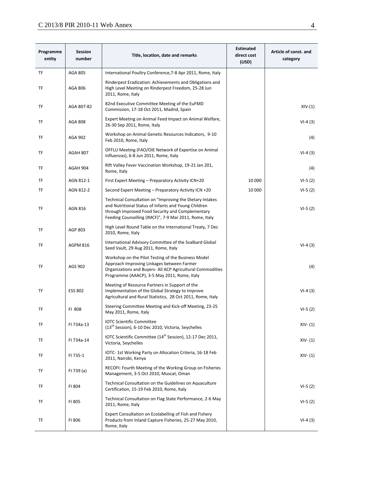### C 2013/8 PIR 2010-11 Web Annex 4

| Programme<br>entity | <b>Session</b><br>number | Title, location, date and remarks                                                                                                                                                                                              | <b>Estimated</b><br>direct cost<br>(USD) | Article of const. and<br>category |
|---------------------|--------------------------|--------------------------------------------------------------------------------------------------------------------------------------------------------------------------------------------------------------------------------|------------------------------------------|-----------------------------------|
| TF                  | <b>AGA 805</b>           | International Poultry Conference, 7-8 Apr 2011, Rome, Italy                                                                                                                                                                    |                                          |                                   |
| TF                  | AGA 806                  | Rinderpest Eradication: Achievements and Obligations and<br>High Level Meeting on Rinderpest Freedom, 25-28 Jun<br>2011, Rome, Italy                                                                                           |                                          |                                   |
| TF                  | AGA 807-82               | 82nd Executive Committee Meeting of the EuFMD<br>Commission, 17-18 Oct 2011, Madrid, Spain                                                                                                                                     |                                          | $XIV-(1)$                         |
| TF                  | AGA 808                  | Expert Meeting on Animal Feed Impact on Animal Welfare,<br>26-30 Sep 2011, Rome, Italy                                                                                                                                         |                                          | $VI-4(3)$                         |
| TF                  | AGA 902                  | Workshop on Animal Genetic Resources Indicators, 9-10<br>Feb 2010, Rome, Italy                                                                                                                                                 |                                          | (4)                               |
| TF                  | AGAH 807                 | OFFLU Meeting (FAO/OIE Network of Expertise on Animal<br>Influenzas), 6-8 Jun 2011, Rome, Italy                                                                                                                                |                                          | $VI-4(3)$                         |
| TF                  | AGAH 904                 | Rift Valley Fever Vaccination Workshop, 19-21 Jan 201,<br>Rome, Italy                                                                                                                                                          |                                          | (4)                               |
| TF                  | AGN 812-1                | First Expert Meeting - Preparatory Activity ICN+20                                                                                                                                                                             | 10 000                                   | $VI-5(2)$                         |
| TF                  | AGN 812-2                | Second Expert Meeting - Preparatory Activity ICN +20                                                                                                                                                                           | 10 000                                   | $VI-5(2)$                         |
| TF                  | <b>AGN 816</b>           | Technical Consultation on "Improving the Dietary Intakes<br>and Nutritional Status of Infants and Young Children<br>through Improved Food Security and Complementary<br>Feeding Counselling (IMCF)", 7-9 Mar 2011, Rome, Italy |                                          | $VI-5(2)$                         |
| TF                  | AGP 803                  | High Level Round Table on the International Treaty, 7 Dec<br>2010, Rome, Italy                                                                                                                                                 |                                          |                                   |
| TF                  | <b>AGPM 816</b>          | International Advisory Committee of the Svalbard Global<br>Seed Vault, 29 Aug 2011, Rome, Italy                                                                                                                                |                                          | $VI-4(3)$                         |
| TF                  | AGS 902                  | Workshop on the Pilot Testing of the Business Model<br>Approach Improving Linkages between Farmer<br>Organizations and Buyers- All ACP Agricultural Commodities<br>Programme (AAACP), 3-5 May 2011, Rome, Italy                |                                          | (4)                               |
| TF                  | <b>ESS 802</b>           | Meeting of Resource Partners in Support of the<br>Implementation of the Global Strategy to Improve<br>Agricultural and Rural Statistics, 28 Oct 2011, Rome, Italy                                                              |                                          | $VI-4(3)$                         |
| TF                  | FI 808                   | Steering Committee Meeting and Kick-off Meeting, 23-25<br>May 2011, Rome, Italy                                                                                                                                                |                                          | $VI-5(2)$                         |
| TF                  | FI 734a-13               | <b>IOTC Scientific Committee</b><br>(13 <sup>th</sup> Session), 6-10 Dec 2010, Victoria, Seychelles                                                                                                                            |                                          | $XIV - (1)$                       |
| TF                  | FI 734a-14               | IOTC Scientific Committee (14 <sup>th</sup> Session), 12-17 Dec 2011,<br>Victoria, Seychelles                                                                                                                                  |                                          | $XIV - (1)$                       |
| TF                  | FI 735-1                 | IOTC-1st Working Party on Allocation Criteria, 16-18 Feb<br>2011, Nairobi, Kenya                                                                                                                                               |                                          | $XIV - (1)$                       |
| TF                  | FI 739 (a)               | RECOFI: Fourth Meeting of the Working Group on Fisheries<br>Management, 3-5 Oct 2010, Muscat, Oman                                                                                                                             |                                          |                                   |
| TF                  | FI 804                   | Technical Consultation on the Guidelines on Aquaculture<br>Certification, 15-19 Feb 2010, Rome, Italy                                                                                                                          |                                          | $VI-5(2)$                         |
| TF                  | FI 805                   | Technical Consultation on Flag State Performance, 2-6 May<br>2011, Rome, Italy                                                                                                                                                 |                                          | $VI-5(2)$                         |
| TF                  | FI 806                   | Expert Consultation on Ecolabelling of Fish and Fishery<br>Products from Inland Capture Fisheries, 25-27 May 2010,<br>Rome, Italy                                                                                              |                                          | $VI-4(3)$                         |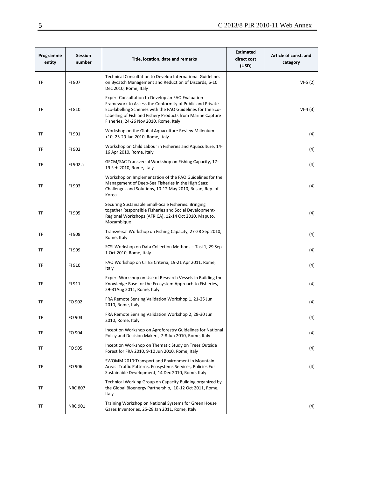| Programme<br>entity | Session<br>number | Title, location, date and remarks                                                                                                                                                                                                                                                  | <b>Estimated</b><br>direct cost<br>(USD) | Article of const. and<br>category |
|---------------------|-------------------|------------------------------------------------------------------------------------------------------------------------------------------------------------------------------------------------------------------------------------------------------------------------------------|------------------------------------------|-----------------------------------|
| TF                  | FI 807            | Technical Consultation to Develop International Guidelines<br>on Bycatch Management and Reduction of Discards, 6-10<br>Dec 2010, Rome, Italy                                                                                                                                       |                                          | $VI-5(2)$                         |
| TF                  | FI 810            | Expert Consultation to Develop an FAO Evaluation<br>Framework to Assess the Conformity of Public and Private<br>Eco-labelling Schemes with the FAO Guidelines for the Eco-<br>Labelling of Fish and Fishery Products from Marine Capture<br>Fisheries, 24-26 Nov 2010, Rome, Italy |                                          | $VI-4(3)$                         |
| TF                  | FI 901            | Workshop on the Global Aquaculture Review Millenium<br>+10, 25-29 Jan 2010, Rome, Italy                                                                                                                                                                                            |                                          | (4)                               |
| TF                  | FI 902            | Workshop on Child Labour in Fisheries and Aquaculture, 14-<br>16 Apr 2010, Rome, Italy                                                                                                                                                                                             |                                          | (4)                               |
| TF                  | FI 902 a          | GFCM/SAC Transversal Workshop on Fishing Capacity, 17-<br>19 Feb 2010, Rome, Italy                                                                                                                                                                                                 |                                          | (4)                               |
| TF                  | FI 903            | Workshop on Implementation of the FAO Guidelines for the<br>Management of Deep-Sea Fisheries in the High Seas:<br>Challenges and Solutions, 10-12 May 2010, Busan, Rep. of<br>Korea                                                                                                |                                          | (4)                               |
| TF                  | FI 905            | Securing Sustainable Small-Scale Fisheries: Bringing<br>together Responsible Fisheries and Social Development-<br>Regional Workshops (AFRICA), 12-14 Oct 2010, Maputo,<br>Mozambique                                                                                               |                                          | (4)                               |
| TF                  | FI 908            | Transversal Workshop on Fishing Capacity, 27-28 Sep 2010,<br>Rome, Italy                                                                                                                                                                                                           |                                          | (4)                               |
| TF                  | FI 909            | SCSI Workshop on Data Collection Methods - Task1, 29 Sep-<br>1 Oct 2010, Rome, Italy                                                                                                                                                                                               |                                          | (4)                               |
| TF                  | FI 910            | FAO Workshop on CITES Criteria, 19-21 Apr 2011, Rome,<br>Italy                                                                                                                                                                                                                     |                                          | (4)                               |
| TF                  | FI 911            | Expert Workshop on Use of Research Vessels in Building the<br>Knowledge Base for the Ecosystem Approach to Fisheries,<br>29-31Aug 2011, Rome, Italy                                                                                                                                |                                          | (4)                               |
| TF                  | FO 902            | FRA Remote Sensing Validation Workshop 1, 21-25 Jun<br>2010, Rome, Italy                                                                                                                                                                                                           |                                          | (4)                               |
| TF                  | FO 903            | FRA Remote Sensing Validation Workshop 2, 28-30 Jun<br>2010, Rome, Italy                                                                                                                                                                                                           |                                          | (4)                               |
| TF                  | FO 904            | Inception Workshop on Agroforestry Guidelines for National<br>Policy and Decision Makers, 7-8 Jun 2010, Rome, Italy                                                                                                                                                                |                                          | (4)                               |
| TF                  | FO 905            | Inception Workshop on Thematic Study on Trees Outside<br>Forest for FRA 2010, 9-10 Jun 2010, Rome, Italy                                                                                                                                                                           |                                          | (4)                               |
| TF                  | FO 906            | SWOMM 2010: Transport and Environment in Mountain<br>Areas: Traffic Patterns, Ecosystems Services, Policies For<br>Sustainable Development, 14 Dec 2010, Rome, Italy                                                                                                               |                                          | (4)                               |
| TF                  | <b>NRC 807</b>    | Technical Working Group on Capacity Building organized by<br>the Global Bioenergy Partnership, 10-12 Oct 2011, Rome,<br>Italy                                                                                                                                                      |                                          |                                   |
| TF                  | <b>NRC 901</b>    | Training Workshop on National Systems for Green House<br>Gases Inventories, 25-28 Jan 2011, Rome, Italy                                                                                                                                                                            |                                          | (4)                               |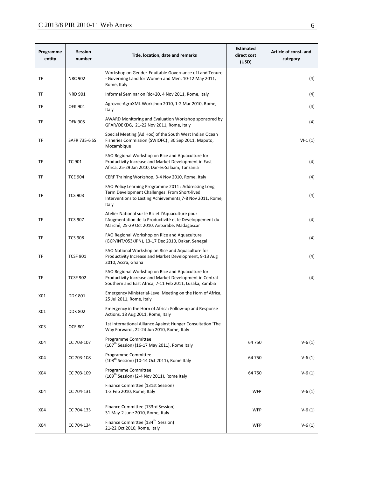## $C$  2013/8 PIR 2010-11 Web Annex 6

| Programme<br>entity | <b>Session</b><br>number | Title, location, date and remarks                                                                                                                                            | <b>Estimated</b><br>direct cost<br>(USD) | Article of const. and<br>category |
|---------------------|--------------------------|------------------------------------------------------------------------------------------------------------------------------------------------------------------------------|------------------------------------------|-----------------------------------|
| TF                  | <b>NRC 902</b>           | Workshop on Gender-Equitable Governance of Land Tenure<br>- Governing Land for Women and Men, 10-12 May 2011,<br>Rome, Italy                                                 |                                          | (4)                               |
| TF                  | <b>NRD 901</b>           | Informal Seminar on Rio+20, 4 Nov 2011, Rome, Italy                                                                                                                          |                                          | (4)                               |
| TF                  | <b>OEK 901</b>           | Agrovoc-AgroXML Workshop 2010, 1-2 Mar 2010, Rome,<br>Italy                                                                                                                  |                                          | (4)                               |
| TF                  | <b>OEK 905</b>           | AWARD Monitoring and Evaluation Workshop sponsored by<br>GFAR/OEKDG, 21-22 Nov 2011, Rome, Italy                                                                             |                                          | (4)                               |
| TF                  | SAFR 735-6 SS            | Special Meeting (Ad Hoc) of the South West Indian Ocean<br>Fisheries Commission (SWIOFC), 30 Sep 2011, Maputo,<br>Mozambique                                                 |                                          | $VI-1(1)$                         |
| TF                  | <b>TC 901</b>            | FAO Regional Workshop on Rice and Aquaculture for<br>Productivity Increase and Market Development in East<br>Africa, 25-29 Jan 2010, Dar-es-Salaam, Tanzania                 |                                          | (4)                               |
| TF                  | <b>TCE 904</b>           | CERF Training Workshop, 3-4 Nov 2010, Rome, Italy                                                                                                                            |                                          | (4)                               |
| TF                  | <b>TCS 903</b>           | FAO Policy Learning Programme 2011 : Addressing Long<br>Term Development Challenges: From Short-lived<br>Interventions to Lasting Achievements, 7-8 Nov 2011, Rome,<br>Italy |                                          | (4)                               |
| TF                  | <b>TCS 907</b>           | Atelier National sur le Riz et l'Aquaculture pour<br>l'Augmentation de la Productivité et le Développement du<br>Marché, 25-29 Oct 2010, Antsirabe, Madagascar               |                                          | (4)                               |
| TF                  | <b>TCS 908</b>           | FAO Regional Workshop on Rice and Aquaculture<br>(GCP/INT/053/JPN), 13-17 Dec 2010, Dakar, Senegal                                                                           |                                          | (4)                               |
| TF                  | <b>TCSF 901</b>          | FAO National Workshop on Rice and Aquaculture for<br>Productivity Increase and Market Development, 9-13 Aug<br>2010, Accra, Ghana                                            |                                          | (4)                               |
| TF                  | <b>TCSF 902</b>          | FAO Regional Workshop on Rice and Aquaculture for<br>Productivity Increase and Market Development in Central<br>Southern and East Africa, 7-11 Feb 2011, Lusaka, Zambia      |                                          | (4)                               |
| X01                 | <b>DDK 801</b>           | Emergency Ministerial-Level Meeting on the Horn of Africa,<br>25 Jul 2011, Rome, Italy                                                                                       |                                          |                                   |
| X01                 | <b>DDK 802</b>           | Emergency in the Horn of Africa: Follow-up and Response<br>Actions, 18 Aug 2011, Rome, Italy                                                                                 |                                          |                                   |
| X03                 | <b>OCE 801</b>           | 1st International Alliance Against Hunger Consultation 'The<br>Way Forward', 22-24 Jun 2010, Rome, Italy                                                                     |                                          |                                   |
| X04                 | CC 703-107               | Programme Committee<br>$(107th$ Session) (16-17 May 2011), Rome Italy                                                                                                        | 64 750                                   | $V-6(1)$                          |
| X04                 | CC 703-108               | Programme Committee<br>(108 <sup>th</sup> Session) (10-14 Oct 2011), Rome Italy                                                                                              | 64 750                                   | $V-6(1)$                          |
| X04                 | CC 703-109               | Programme Committee<br>(109 <sup>th</sup> Session) (2-4 Nov 2011), Rome Italy                                                                                                | 64 750                                   | $V-6(1)$                          |
| X04                 | CC 704-131               | Finance Committee (131st Session)<br>1-2 Feb 2010, Rome, Italy                                                                                                               | <b>WFP</b>                               | $V-6(1)$                          |
| X04                 | CC 704-133               | Finance Committee (133rd Session)<br>31 May-2 June 2010, Rome, Italy                                                                                                         | <b>WFP</b>                               | $V-6(1)$                          |
| X04                 | CC 704-134               | Finance Committee (134 <sup>th</sup> Session)<br>21-22 Oct 2010, Rome, Italy                                                                                                 | <b>WFP</b>                               | $V-6(1)$                          |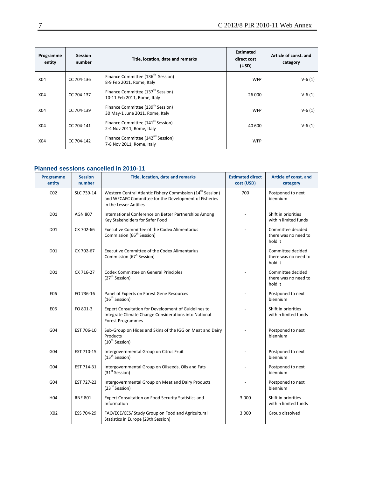| Programme<br>entity | <b>Session</b><br>number | Title, location, date and remarks                                                | <b>Estimated</b><br>direct cost<br>(USD) | Article of const. and<br>category |
|---------------------|--------------------------|----------------------------------------------------------------------------------|------------------------------------------|-----------------------------------|
| X04                 | CC 704-136               | Finance Committee (136 <sup>th</sup> Session)<br>8-9 Feb 2011, Rome, Italy       | <b>WFP</b>                               | $V-6(1)$                          |
| X <sub>04</sub>     | CC 704-137               | Finance Committee (137 <sup>th</sup> Session)<br>10-11 Feb 2011, Rome, Italy     | 26 000                                   | $V - 6(1)$                        |
| X04                 | CC 704-139               | Finance Committee (139 <sup>th</sup> Session)<br>30 May-1 June 2011, Rome, Italy | <b>WFP</b>                               | $V-6(1)$                          |
| X <sub>04</sub>     | CC 704-141               | Finance Committee (141 <sup>st</sup> Session)<br>2-4 Nov 2011, Rome, Italy       | 40 600                                   | $V-6(1)$                          |
| X04                 | CC 704-142               | Finance Committee (142 <sup>nd</sup> Session)<br>7-8 Nov 2011, Rome, Italy       | <b>WFP</b>                               |                                   |

#### **Planned sessions cancelled in 2010-11**

| Programme<br>entity | <b>Session</b><br>number | Title, location, date and remarks                                                                                                                         | <b>Estimated direct</b><br>cost (USD) | Article of const. and<br>category                    |
|---------------------|--------------------------|-----------------------------------------------------------------------------------------------------------------------------------------------------------|---------------------------------------|------------------------------------------------------|
| CO <sub>2</sub>     | SLC 739-14               | Western Central Atlantic Fishery Commission (14 <sup>th</sup> Session)<br>and WECAFC Committee for the Development of Fisheries<br>in the Lesser Antilles | 700                                   | Postponed to next<br>biennium                        |
| D01                 | <b>AGN 807</b>           | International Conference on Better Partnerships Among<br>Key Stakeholders for Safer Food                                                                  |                                       | Shift in priorities<br>within limited funds          |
| D01                 | CX 702-66                | <b>Executive Committee of the Codex Alimentarius</b><br>Commission (66 <sup>th</sup> Session)                                                             |                                       | Committee decided<br>there was no need to<br>hold it |
| D01                 | CX 702-67                | <b>Executive Committee of the Codex Alimentarius</b><br>Commission (67 <sup>h</sup> Session)                                                              |                                       | Committee decided<br>there was no need to<br>hold it |
| D01                 | CX 716-27                | Codex Committee on General Principles<br>(27 <sup>th</sup> Session)                                                                                       |                                       | Committee decided<br>there was no need to<br>hold it |
| E06                 | FO 736-16                | Panel of Experts on Forest Gene Resources<br>(16 <sup>th</sup> Session)                                                                                   |                                       | Postponed to next<br>biennium                        |
| E06                 | FO 801-3                 | Expert Consultation for Development of Guidelines to<br>Integrate Climate Change Considerations into National<br><b>Forest Programmes</b>                 |                                       | Shift in priorities<br>within limited funds          |
| G04                 | EST 706-10               | Sub-Group on Hides and Skins of the IGG on Meat and Dairy<br>Products<br>$(10^{th}$ Session)                                                              |                                       | Postponed to next<br>biennium                        |
| G04                 | EST 710-15               | Intergovernmental Group on Citrus Fruit<br>(15 <sup>th</sup> Session)                                                                                     |                                       | Postponed to next<br>biennium                        |
| G04                 | EST 714-31               | Intergovernmental Group on Oilseeds, Oils and Fats<br>(31 <sup>st</sup> Session)                                                                          |                                       | Postponed to next<br>biennium                        |
| G04                 | EST 727-23               | Intergovernmental Group on Meat and Dairy Products<br>(23 <sup>rd</sup> Session)                                                                          |                                       | Postponed to next<br>biennium                        |
| H <sub>04</sub>     | <b>RNE 801</b>           | Expert Consultation on Food Security Statistics and<br>Information                                                                                        | 3 0 0 0                               | Shift in priorities<br>within limited funds          |
| X02                 | ESS 704-29               | FAO/ECE/CES/ Study Group on Food and Agricultural<br>Statistics in Europe (29th Session)                                                                  | 3 0 0 0                               | Group dissolved                                      |